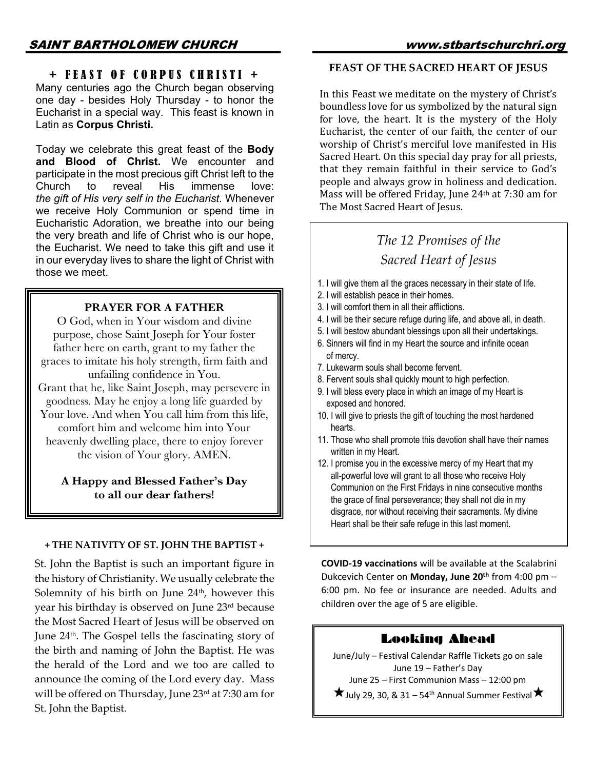## + FEAST OF CORPUS CHRISTI +

Many centuries ago the Church began observing one day - besides Holy Thursday - to honor the Eucharist in a special way. This feast is known in Latin as **Corpus Christi.**

Today we celebrate this great feast of the **Body and Blood of Christ.** We encounter and participate in the most precious gift Christ left to the Church to reveal His immense love: *the gift of His very self in the Eucharist*. Whenever we receive Holy Communion or spend time in Eucharistic Adoration, we breathe into our being the very breath and life of Christ who is our hope, the Eucharist. We need to take this gift and use it in our everyday lives to share the light of Christ with those we meet.

### **PRAYER FOR A FATHER**

O God, when in Your wisdom and divine purpose, chose Saint Joseph for Your foster father here on earth, grant to my father the graces to imitate his holy strength, firm faith and unfailing confidence in You. Grant that he, like Saint Joseph, may persevere in goodness. May he enjoy a long life guarded by Your love. And when You call him from this life, comfort him and welcome him into Your heavenly dwelling place, there to enjoy forever the vision of Your glory. AMEN.

**A Happy and Blessed Father's Day to all our dear fathers!**

#### **+ THE NATIVITY OF ST. JOHN THE BAPTIST +**

St. John the Baptist is such an important figure in the history of Christianity. We usually celebrate the Solemnity of his birth on June  $24<sup>th</sup>$ , however this year his birthday is observed on June 23rd because the Most Sacred Heart of Jesus will be observed on June 24th. The Gospel tells the fascinating story of the birth and naming of John the Baptist. He was the herald of the Lord and we too are called to announce the coming of the Lord every day. Mass will be offered on Thursday, June 23rd at 7:30 am for St. John the Baptist.

## **FEAST OF THE SACRED HEART OF JESUS**

In this Feast we meditate on the mystery of Christ's boundless love for us symbolized by the natural sign for love, the heart. It is the mystery of the Holy Eucharist, the center of our faith, the center of our worship of Christ's merciful love manifested in His Sacred Heart. On this special day pray for all priests, that they remain faithful in their service to God's people and always grow in holiness and dedication. Mass will be offered Friday, June 24th at 7:30 am for The Most Sacred Heart of Jesus.

# *The 12 Promises of the Sacred Heart of Jesus*

- 1. I will give them all the graces necessary in their state of life.
- 2. I will establish peace in their homes.
- 3. I will comfort them in all their afflictions.
- 4. I will be their secure refuge during life, and above all, in death.
- 5. I will bestow abundant blessings upon all their undertakings.
- 6. Sinners will find in my Heart the source and infinite ocean of mercy.
- 7. Lukewarm souls shall become fervent.
- 8. Fervent souls shall quickly mount to high perfection.
- 9. I will bless every place in which an image of my Heart is exposed and honored.
- 10. I will give to priests the gift of touching the most hardened hearts.
- 11. Those who shall promote this devotion shall have their names written in my Heart.
- 12. I promise you in the excessive mercy of my Heart that my all-powerful love will grant to all those who receive Holy Communion on the First Fridays in nine consecutive months the grace of final perseverance; they shall not die in my disgrace, nor without receiving their sacraments. My divine Heart shall be their safe refuge in this last moment.

**COVID-19 vaccinations** will be available at the Scalabrini Dukcevich Center on **Monday, June 20th** from 4:00 pm – 6:00 pm. No fee or insurance are needed. Adults and children over the age of 5 are eligible.

## Looking Ahead

June/July – Festival Calendar Raffle Tickets go on sale June 19 – Father's Day June 25 – First Communion Mass – 12:00 pm  $\bigstar$  July 29, 30, & 31 – 54<sup>th</sup> Annual Summer Festival  $\bigstar$